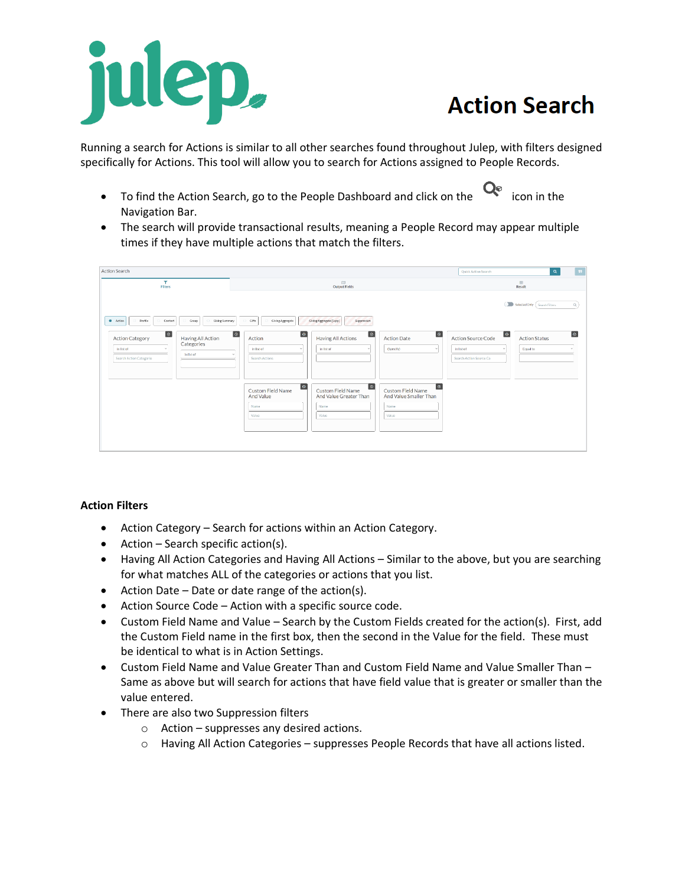

## **Action Search**

Running a search for Actions is similar to all other searches found throughout Julep, with filters designed specifically for Actions. This tool will allow you to search for Actions assigned to People Records.

- To find the Action Search, go to the People Dashboard and click on the  $\mathbf{Q}_{\text{e}}$  icon in the Navigation Bar.
- The search will provide transactional results, meaning a People Record may appear multiple times if they have multiple actions that match the filters.

| <b>Action Search</b>                                                                                                                                                                               |                                                                                                                                                                                                                                          | $\boxed{9}$<br>$\alpha$<br>Quick Action Search                                                                                                                                    |
|----------------------------------------------------------------------------------------------------------------------------------------------------------------------------------------------------|------------------------------------------------------------------------------------------------------------------------------------------------------------------------------------------------------------------------------------------|-----------------------------------------------------------------------------------------------------------------------------------------------------------------------------------|
| ۳<br>Filters                                                                                                                                                                                       | 吅<br><b>Output Fields</b>                                                                                                                                                                                                                | $\boxplus$<br>Result                                                                                                                                                              |
| Profile<br>Giving Summary<br>· Action<br>Group<br>Contact<br>$\circ$<br>Having All Action<br><b>Action Category</b><br>Categories<br>in list of<br>$\sim$<br>in list of<br>Search Action Categorie | Giving Aggregate (Supp)<br>Gifts<br>Giving Aggregate<br>Suppression<br>$\circ$<br>$\circledcirc$<br>$\circ$<br>Action<br><b>Having All Actions</b><br><b>Action Date</b><br>(Specify)<br>in list of<br>in list of<br>w<br>Search Actions | Selected Only (Search Filters<br>Q<br>$\circ$<br>$\circ$<br>$\circ$<br>Action Source Code<br><b>Action Status</b><br>Equal to<br>in list of<br>$\sim$<br>Search Action Source Co. |
|                                                                                                                                                                                                    | $\boxed{\circ}$<br>$\boxed{\circ}$<br>Custom Field Name<br>Custom Field Name<br>Custom Field Name<br>And Value<br>And Value Greater Than<br>And Value Smaller Than<br>Name<br>Name<br>Name<br>Value<br>Value<br>Value                    | $\boxed{\circ}$                                                                                                                                                                   |

## **Action Filters**

- Action Category Search for actions within an Action Category.
- Action Search specific action(s).
- Having All Action Categories and Having All Actions Similar to the above, but you are searching for what matches ALL of the categories or actions that you list.
- Action Date Date or date range of the action(s).
- Action Source Code Action with a specific source code.
- Custom Field Name and Value Search by the Custom Fields created for the action(s). First, add the Custom Field name in the first box, then the second in the Value for the field. These must be identical to what is in Action Settings.
- Custom Field Name and Value Greater Than and Custom Field Name and Value Smaller Than Same as above but will search for actions that have field value that is greater or smaller than the value entered.
- There are also two Suppression filters
	- o Action suppresses any desired actions.
	- o Having All Action Categories suppresses People Records that have all actions listed.